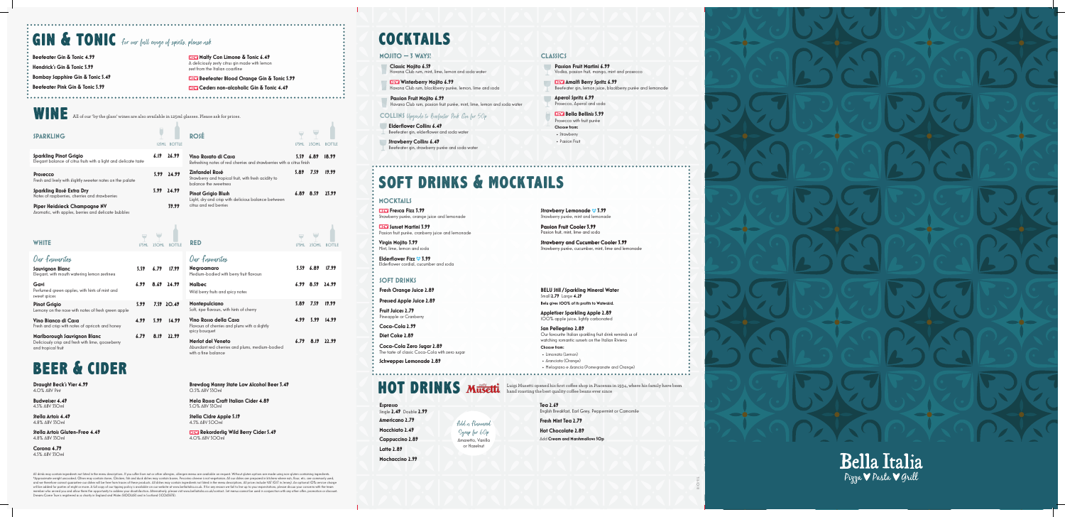wine All of our 'by the glass' wines are also available in 125ml glasses. Please ask for prices.

## beer & cider

**Draught Beck's Vier 4.99** 4.0% ABV Pint

**Budweiser 4.49**  4.5% ABV 330ml

**Stella Artois 4.49**  4.8% ABV 330ml

**Stella Artois Gluten-Free 4.49**  4.8% ABV 330ml

**Corona 4.79**  4.5% ABV 330ml **Brewdog Nanny State Low Alcohol Beer 3.49** 0.5% ABV 330ml

**Mela Rossa Craft Italian Cider 4.89**  5.0% ABV 330ml

**Stella Cidre Apple 5.19**  4.5% ABV 500ml

**Rekorderlig Wild Berry Cider 5.49** 4.0% ABV 500ml

| Our fowourites                                                                             |                       |       |
|--------------------------------------------------------------------------------------------|-----------------------|-------|
| <b>Negroamaro</b><br>Medium-bodied with berry fruit flavours                               | 5.59 6.89 17.99       |       |
| Malbec<br>Wild berry fruits and spicy notes                                                | $6.99$ $8.59$ $24.99$ |       |
| Montepulciano<br>Soft, ripe flavours, with hints of cherry                                 | 5.89 7.59             | 19.99 |
| Vino Rosso della Casa<br>Flavours of cherries and plums with a slightly<br>spicy bouquet   | 4.99 5.99             | 14.99 |
| Merlot del Veneto<br>Abundant red cherries and plums, medium-bodied<br>with a fine balance | $6.79$ $8.19$ $22.99$ |       |

**RED** 175ML 250ML BOTTLE

| WHITE                                                           | 175MI | 25OML | <b>BOTTLE</b> |
|-----------------------------------------------------------------|-------|-------|---------------|
| Our favourites                                                  |       |       |               |
| Sauvignon Blanc<br>Elegant, with mouth watering lemon zestiness | 5.59  | 6.79  | 17.99         |

All drinks may contain ingredients not listed in the menu descriptions. If you suffer from nut or other allergies, allergen menus are available on request. Without aluten options are made using non-aluten containing ingred \*Approximate weight uncooked. Olives may contain stones. Chicken, fish and duck dishes may contain bones. Pecorino cheese is not vegetarian. All our dishes are prepared in kitchens where nuts, flour, etc. are commonly used will be added for parties of eight or more. A full copy of our tipping policy is available on our website at www.bellaitalia.co.uk. If for any reason we fail to live up to your expectations, please dicuss your concerns wit Dreams Come True is registered as a charity in England and Wales (800248) and in Scotland (SC043878).

| Gavi<br>Perfumed green apples, with hints of mint and<br>sweet spices                                  | 6.99       |      | $8.69$ $24.99$ |
|--------------------------------------------------------------------------------------------------------|------------|------|----------------|
| <b>Pinot Grigio</b><br>Lemony on the nose with notes of fresh green apple                              | 5.99       |      | 7.59 20.49     |
| Vino Bianco di Casa<br>Fresh and crisp with notes of apricots and honey                                | <b>499</b> | 5.99 | 14.99          |
| Marlborough Sauvignon Blanc<br>Deliciously crisp and fresh with lime, gooseberry<br>and tropical fruit | 6.79       | 8.19 | C (1           |

| SPARKLING                                                                                                                                              |      | <b>I25ML BOTTLE</b> | <b>ROSÉ</b>                                                                                     | 175ML | 250ml         | <b>BOTTLE</b> |
|--------------------------------------------------------------------------------------------------------------------------------------------------------|------|---------------------|-------------------------------------------------------------------------------------------------|-------|---------------|---------------|
| <b>Sparkling Pinot Grigio</b><br>Elegant balance of citrus fruits with a light and delicate taste                                                      | 6.19 | 26.99               | Vino Rosato di Casa<br>Refreshing notes of red cherries and strawberries with a citrus finish   |       | 5.5966.89     | 18.99         |
| Prosecco<br>Fresh and lively with slightly sweeter notes on the palate                                                                                 | 5.99 | 24.99               | Zinfandel Rosé<br>Strawberry and tropical fruit, with fresh acidity to<br>balance the sweetness | 5.89  | 7.59          | 19.99         |
| Sparkling Rosé Extra Dry<br>Notes of raspberries, cherries and strawberries                                                                            | 5.99 | 24.99               | <b>Pinot Grigio Blush</b><br>Light, dry and crisp with delicious balance between                |       | $6.89$ $8.59$ | 23.99         |
| <b>Piper Heidsieck Champagne NV</b><br>the contract of the contract of the contract of the contract of the contract of the contract of the contract of |      | 39.99               | citrus and red berries                                                                          |       |               |               |

**REW** Fresca Fizz 3.99 Strawberry purée, orange juice and lemonade

**Sunset Martini 3.99** Passion fruit purée, cranberry juice and lemonade

**Elderflower Fizz**  $\heartsuit$  **3.99** Elderflower cordial, cucumber and soda

**Fruit Juices 2.79** Pineapple or Cranberr

**Winterberry Mojito 6.99** Havana Club rum, blackberry purée, lemon, lime and soda

**Passion Fruit Mojito 6.99** Havana Club rum, passion fruit purée, mint, lime, lemon and soda water

**Strawberry Collins 6.49** Beefeater gin, strawberry purée and soda water

> **Strawberry Lemonade <sup>8</sup> 3.99** Strawberry purée, mint and lemonade

Aromatic, with apples, berries and delicate bubbles

# soft drinks & mocktails

# hot drinks

**Espresso**  Single **2.49** Double **2.99 Americano 2.79 Macchiato 2.49 Cappuccino 2.89 Latte 2.89 Mochaccino 2.99**

cocktails

**MOJITO — 3 WAYS! CLASSICS**

**Virgin Mojito 3.99** Mint, lime, lemon and soda

### **MOCKTAILS**

**Fresh Orange Juice 2.89**

**Pressed Apple Juice 2.89**

**Coca-Cola 2.99**

**Diet Coke 2.89**

**Coca-Cola Zero Sugar 2.89** The taste of classic Coca-Cola with zero sugar

**Schweppes Lemonade 2.89**

**BELU Still / Sparkling Mineral Water** Small **2.79** Large **4.29 Belu gives 100% of its profits to WaterAid.**

**Appletiser Sparkling Apple 2.89**

100% apple juice, lightly carbonated

**San Pellegrino 2.89** Our favourite Italian sparkling fruit drink reminds us of watching romantic sunsets on the Italian Riviera

**Choose from:**

- Limonata (Lemon)
- Aranciata (Orange)
- Melograno e Arancia (Pomegranate and Orange)

### **SOFT DRINKS**

**Tea 2.69** English Breakfast, Earl Grey, Peppermint or Camomile

**Fresh Mint Tea 2.79**

**Hot Chocolate 2.89** Add **Cream and Marshmallows 50p**



Luigi Musetti opened his first coffee shop in Piacenza in 1934, where his family have been hand roasting the best quality coffee beans ever since

### **COLLINS** Upgrade to Beefeater Pink Gin for 50p

**Classic Mojito 6.59** Havana Club rum, mint, lime, lemon and soda water

**Elderflower Collins 6.49** Beefeater gin, elderflower and soda water **Passion Fruit Martini 6.99** Vodka, passion fruit, mango, mint and prosecco

**Amalfi Berry Spritz 6.99** Beefeater gin, lemon juice, blackberry purée and lemonade

**Aperol Spritz 6.99** Prosecco, Aperol and soda

**Bella Bellinis 5.99** Prosecco with fruit purée **Choose from:** • Strawberry

• Passion Fruit

**Passion Fruit Cooler 3.99** Passion fruit, mint, lime and soda

**Strawberry and Cucumber Cooler 3.99** Strawberry purée, cucumber, mint, lime and lemonade

Add a Flavoured Syrup for 60p Amaretto, Vanilla or Hazelnut

# GIN & TONIC for our full range of spirits, please ask

**Beefeater Gin & Tonic 4.99 Hendrick's Gin & Tonic 5.99 Bombay Sapphire Gin & Tonic 5.49**

**Beefeater Pink Gin & Tonic 5.99**

**Malfy Con Limone & Tonic 6.49** A deliciously zesty citrus gin made with lemon zest from the Italian coastline

**Beefeater Blood Orange Gin & Tonic 5.99** 

**Ceders non-alcoholic Gin & Tonic 4.49**